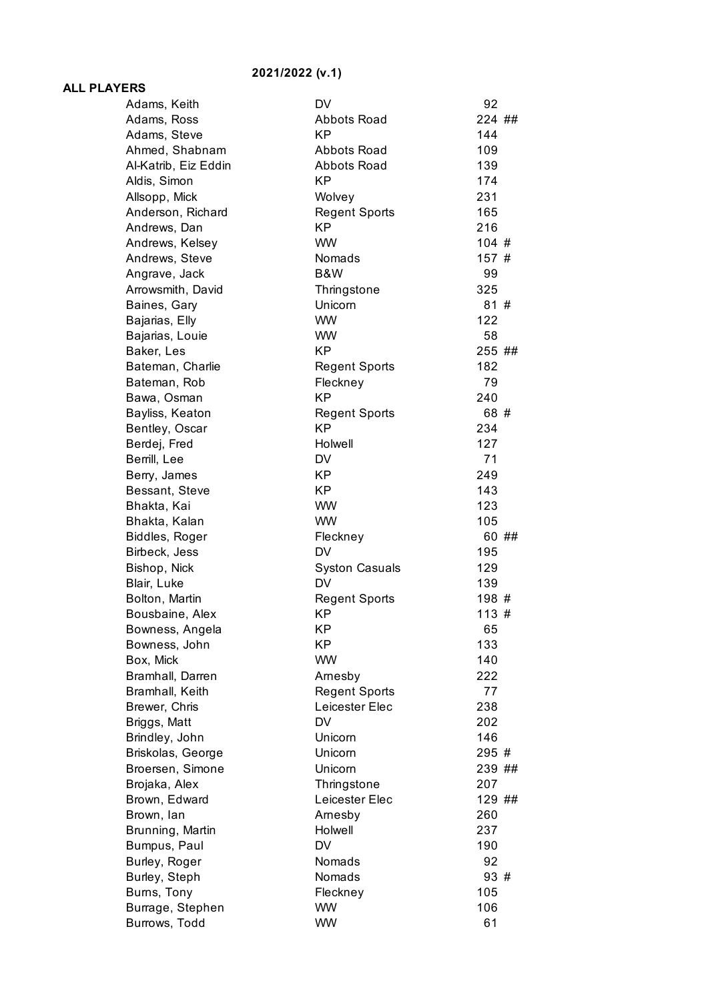## **2021/2022 (v.1)**

## **ALL PLAYERS**

| Adams, Keith                 | DV                    | 92         |
|------------------------------|-----------------------|------------|
| Adams, Ross                  | Abbots Road           | 224 ##     |
| Adams, Steve                 | <b>KP</b>             | 144        |
| Ahmed, Shabnam               | Abbots Road           | 109        |
| Al-Katrib, Eiz Eddin         | <b>Abbots Road</b>    | 139        |
| Aldis, Simon                 | KP                    | 174        |
| Allsopp, Mick                | Wolvey                | 231        |
| Anderson, Richard            | <b>Regent Sports</b>  | 165        |
| Andrews, Dan                 | KP                    | 216        |
| Andrews, Kelsey              | <b>WW</b>             | 104#       |
| Andrews, Steve               | Nomads                | 157#       |
| Angrave, Jack                | B&W                   | 99         |
| Arrowsmith, David            | Thringstone           | 325        |
| Baines, Gary                 | Unicorn               | 81#        |
| Bajarias, Elly               | <b>WW</b>             | 122        |
| Bajarias, Louie              | <b>WW</b>             | 58         |
| Baker, Les                   | <b>KP</b>             | 255 ##     |
| Bateman, Charlie             | <b>Regent Sports</b>  | 182        |
| Bateman, Rob                 | Fleckney              | 79         |
| Bawa, Osman                  | <b>KP</b>             | 240        |
| Bayliss, Keaton              | <b>Regent Sports</b>  | 68 #       |
| Bentley, Oscar               | KP                    | 234        |
| Berdej, Fred                 | Holwell               | 127        |
| Berrill, Lee                 | DV                    | 71         |
| Berry, James                 | <b>KP</b>             | 249        |
| Bessant, Steve               | <b>KP</b>             | 143        |
| Bhakta, Kai                  | <b>WW</b>             | 123        |
| Bhakta, Kalan                | <b>WW</b>             | 105        |
| Biddles, Roger               | Fleckney              | 60 ##      |
| Birbeck, Jess                | <b>DV</b>             | 195        |
| Bishop, Nick                 | <b>Syston Casuals</b> | 129        |
| Blair, Luke                  | DV                    | 139        |
| Bolton, Martin               | <b>Regent Sports</b>  | 198 #      |
| Bousbaine, Alex              | <b>KP</b>             | 113#       |
| Bowness, Angela              | <b>KP</b>             | 65         |
| Bowness, John                | KP                    | 133        |
| Box, Mick                    | <b>WW</b>             | 140        |
| Bramhall, Darren             | Arnesby               | 222        |
| Bramhall, Keith              | <b>Regent Sports</b>  | 77         |
| Brewer, Chris                | Leicester Elec        | 238        |
| Briggs, Matt                 | <b>DV</b>             | 202        |
| Brindley, John               | Unicorn               | 146        |
| Briskolas, George            | Unicorn               | 295 #      |
| Broersen, Simone             | Unicorn               | 239 ##     |
| Brojaka, Alex                | Thringstone           | 207        |
| Brown, Edward                | Leicester Elec        | 129 ##     |
| Brown, lan                   | Arnesby               | 260        |
| Brunning, Martin             | Holwell               | 237        |
| Bumpus, Paul                 | DV                    | 190        |
| Burley, Roger                | Nomads<br>Nomads      | 92<br>93 # |
| Burley, Steph<br>Burns, Tony | Fleckney              | 105        |
| Burrage, Stephen             | <b>WW</b>             | 106        |
| Burrows, Todd                | <b>WW</b>             | 61         |
|                              |                       |            |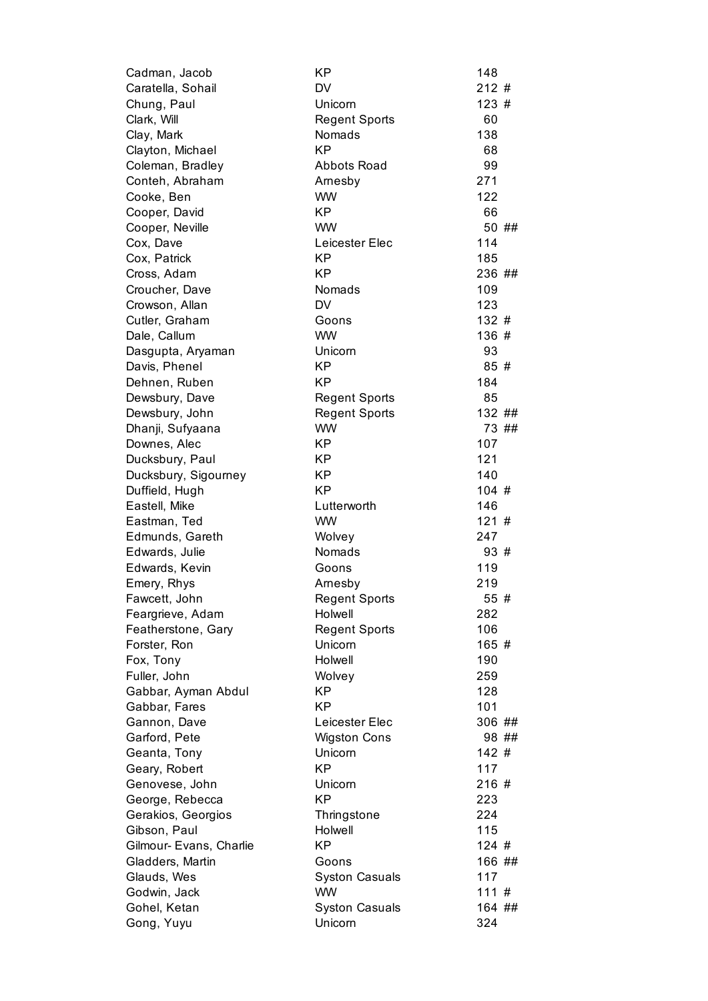| Cadman, Jacob           | KP                    | 148    |
|-------------------------|-----------------------|--------|
| Caratella, Sohail       | DV                    | 212#   |
| Chung, Paul             | Unicorn               | 123#   |
| Clark, Will             | <b>Regent Sports</b>  | 60     |
| Clay, Mark              | Nomads                | 138    |
| Clayton, Michael        | <b>KP</b>             | 68     |
| Coleman, Bradley        | Abbots Road           | 99     |
| Conteh, Abraham         | Arnesby               | 271    |
| Cooke, Ben              | <b>WW</b>             | 122    |
| Cooper, David           | <b>KP</b>             | 66     |
| Cooper, Neville         | <b>WW</b>             | 50 ##  |
| Cox, Dave               | Leicester Elec        | 114    |
| Cox, Patrick            | <b>KP</b>             | 185    |
| Cross, Adam             | ΚP                    | 236 ## |
| Croucher, Dave          | Nomads                | 109    |
| Crowson, Allan          | <b>DV</b>             | 123    |
| Cutler, Graham          | Goons                 | 132#   |
| Dale, Callum            | <b>WW</b>             | 136 #  |
| Dasgupta, Aryaman       | Unicorn               | 93     |
| Davis, Phenel           | <b>KP</b>             | 85 #   |
| Dehnen, Ruben           | <b>KP</b>             | 184    |
| Dewsbury, Dave          | <b>Regent Sports</b>  | 85     |
| Dewsbury, John          | <b>Regent Sports</b>  | 132 ## |
| Dhanji, Sufyaana        | <b>WW</b>             | 73 ##  |
| Downes, Alec            | <b>KP</b>             | 107    |
| Ducksbury, Paul         | <b>KP</b>             | 121    |
| Ducksbury, Sigourney    | <b>KP</b>             | 140    |
| Duffield, Hugh          | <b>KP</b>             | 104#   |
| Eastell, Mike           | Lutterworth           | 146    |
| Eastman, Ted            | <b>WW</b>             | 121#   |
| Edmunds, Gareth         | Wolvey                | 247    |
| Edwards, Julie          | <b>Nomads</b>         | 93#    |
| Edwards, Kevin          | Goons                 | 119    |
| Emery, Rhys             | Arnesby               | 219    |
| Fawcett, John           | <b>Regent Sports</b>  | 55#    |
| Feargrieve, Adam        | Holwell               | 282    |
| Featherstone, Gary      | <b>Regent Sports</b>  | 106    |
| Forster, Ron            | Unicorn               | 165 #  |
| Fox, Tony               | Holwell               | 190    |
| Fuller, John            | Wolvey                | 259    |
| Gabbar, Ayman Abdul     | <b>KP</b>             | 128    |
| Gabbar, Fares           | <b>KP</b>             | 101    |
| Gannon, Dave            | Leicester Elec        | 306 ## |
| Garford, Pete           | <b>Wigston Cons</b>   | 98 ##  |
| Geanta, Tony            | Unicorn               | 142#   |
| Geary, Robert           | <b>KP</b>             | 117    |
| Genovese, John          | Unicorn               | 216 #  |
| George, Rebecca         | <b>KP</b>             | 223    |
| Gerakios, Georgios      | Thringstone           | 224    |
| Gibson, Paul            | Holwell               | 115    |
| Gilmour- Evans, Charlie | <b>KP</b>             | 124#   |
| Gladders, Martin        | Goons                 | 166 ## |
| Glauds, Wes             | <b>Syston Casuals</b> | 117    |
| Godwin, Jack            | <b>WW</b>             | 111#   |
| Gohel, Ketan            | <b>Syston Casuals</b> | 164 ## |
| Gong, Yuyu              | Unicorn               | 324    |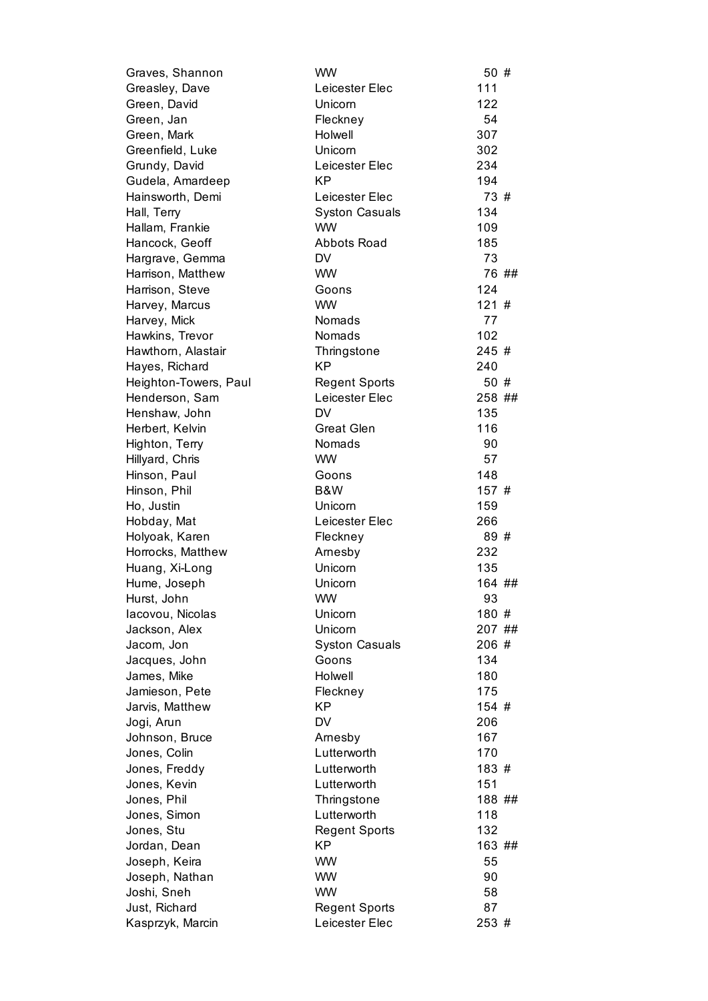| Graves, Shannon       | <b>WW</b>             | 50 #   |
|-----------------------|-----------------------|--------|
| Greasley, Dave        | Leicester Elec        | 111    |
| Green, David          | Unicorn               | 122    |
| Green, Jan            | Fleckney              | 54     |
| Green, Mark           | Holwell               | 307    |
| Greenfield, Luke      | Unicorn               | 302    |
| Grundy, David         | Leicester Elec        | 234    |
| Gudela, Amardeep      | <b>KP</b>             | 194    |
| Hainsworth, Demi      | Leicester Elec        | 73 #   |
| Hall, Terry           | <b>Syston Casuals</b> | 134    |
| Hallam, Frankie       | <b>WW</b>             | 109    |
| Hancock, Geoff        | <b>Abbots Road</b>    | 185    |
| Hargrave, Gemma       | <b>DV</b>             | 73     |
| Harrison, Matthew     | <b>WW</b>             | 76 ##  |
| Harrison, Steve       | Goons                 | 124    |
| Harvey, Marcus        | <b>WW</b>             | 121#   |
| Harvey, Mick          | Nomads                | 77     |
| Hawkins, Trevor       | Nomads                | 102    |
| Hawthorn, Alastair    | Thringstone           | 245 #  |
| Hayes, Richard        | <b>KP</b>             | 240    |
| Heighton-Towers, Paul | <b>Regent Sports</b>  | 50 #   |
| Henderson, Sam        | Leicester Elec        | 258 ## |
| Henshaw, John         | DV                    | 135    |
| Herbert, Kelvin       | <b>Great Glen</b>     | 116    |
| Highton, Terry        | Nomads                | 90     |
| Hillyard, Chris       | <b>WW</b>             | 57     |
| Hinson, Paul          | Goons                 | 148    |
| Hinson, Phil          | B&W                   | 157 #  |
| Ho, Justin            | Unicorn               | 159    |
| Hobday, Mat           | Leicester Elec        | 266    |
| Holyoak, Karen        | Fleckney              | 89 #   |
| Horrocks, Matthew     | Arnesby               | 232    |
| Huang, Xi-Long        | Unicorn               | 135    |
| Hume, Joseph          | Unicorn               | 164 ## |
| Hurst, John           | WW.                   | 93     |
| lacovou, Nicolas      | Unicorn               | 180 #  |
| Jackson, Alex         | Unicorn               | 207 ## |
| Jacom, Jon            | <b>Syston Casuals</b> | 206#   |
| Jacques, John         | Goons                 | 134    |
| James, Mike           | Holwell               | 180    |
| Jamieson, Pete        | Fleckney              | 175    |
| Jarvis, Matthew       | KP                    | 154 #  |
| Jogi, Arun            | DV                    | 206    |
| Johnson, Bruce        | Arnesby               | 167    |
| Jones, Colin          | Lutterworth           | 170    |
| Jones, Freddy         | Lutterworth           | 183 #  |
| Jones, Kevin          | Lutterworth           | 151    |
| Jones, Phil           | Thringstone           | 188 ## |
| Jones, Simon          | Lutterworth           | 118    |
| Jones, Stu            | <b>Regent Sports</b>  | 132    |
| Jordan, Dean          | KP                    | 163 ## |
| Joseph, Keira         | <b>WW</b>             | 55     |
| Joseph, Nathan        | <b>WW</b>             | 90     |
| Joshi, Sneh           | <b>WW</b>             | 58     |
| Just, Richard         | <b>Regent Sports</b>  | 87     |
| Kasprzyk, Marcin      | Leicester Elec        | 253 #  |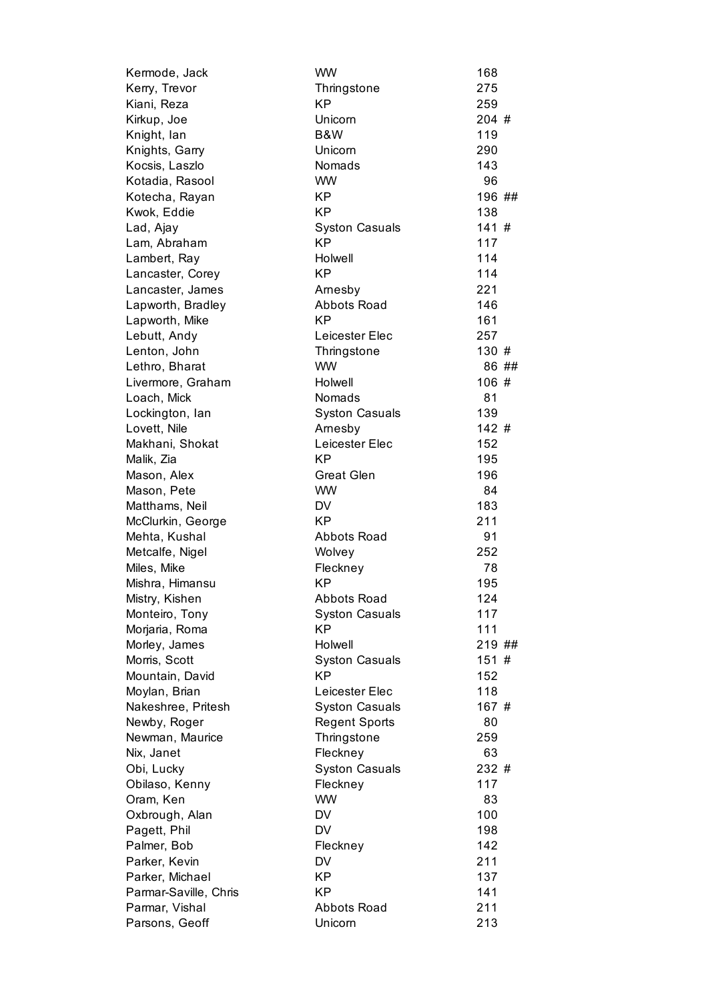| Kermode, Jack         | <b>WW</b>             | 168    |
|-----------------------|-----------------------|--------|
| Kerry, Trevor         | Thringstone           | 275    |
| Kiani, Reza           | <b>KP</b>             | 259    |
| Kirkup, Joe           | Unicorn               | 204 #  |
| Knight, lan           | B&W                   | 119    |
| Knights, Garry        | Unicorn               | 290    |
| Kocsis, Laszlo        | Nomads                | 143    |
| Kotadia, Rasool       | <b>WW</b>             | 96     |
| Kotecha, Rayan        | KP                    | 196 ## |
| Kwok, Eddie           | <b>KP</b>             | 138    |
| Lad, Ajay             | <b>Syston Casuals</b> | 141#   |
| Lam, Abraham          | <b>KP</b>             | 117    |
| Lambert, Ray          | Holwell               | 114    |
| Lancaster, Corey      | <b>KP</b>             | 114    |
| Lancaster, James      | Arnesby               | 221    |
| Lapworth, Bradley     | <b>Abbots Road</b>    | 146    |
| Lapworth, Mike        | <b>KP</b>             | 161    |
| Lebutt, Andy          | Leicester Elec        | 257    |
| Lenton, John          | Thringstone           | 130 #  |
| Lethro, Bharat        | <b>WW</b>             | 86 ##  |
| Livermore, Graham     | Holwell               | 106#   |
| Loach, Mick           | Nomads                | 81     |
| Lockington, lan       | <b>Syston Casuals</b> | 139    |
| Lovett, Nile          | Arnesby               | 142#   |
| Makhani, Shokat       | Leicester Elec        | 152    |
| Malik, Zia            | <b>KP</b>             | 195    |
| Mason, Alex           | <b>Great Glen</b>     | 196    |
| Mason, Pete           | <b>WW</b>             | 84     |
| Matthams, Neil        | DV                    | 183    |
| McClurkin, George     | <b>KP</b>             | 211    |
| Mehta, Kushal         | Abbots Road           | 91     |
| Metcalfe, Nigel       | Wolvey                | 252    |
| Miles, Mike           | Fleckney              | 78     |
| Mishra, Himansu       | <b>KP</b>             | 195    |
| Mistry, Kishen        | Abbots Road           | 124    |
| Monteiro, Tony        | <b>Syston Casuals</b> | 117    |
| Morjaria, Roma        | <b>KP</b>             | 111    |
| Morley, James         | Holwell               | 219 ## |
| Morris, Scott         | <b>Syston Casuals</b> | 151#   |
| Mountain, David       | <b>KP</b>             | 152    |
| Moylan, Brian         | Leicester Elec        | 118    |
| Nakeshree, Pritesh    | <b>Syston Casuals</b> | 167 #  |
| Newby, Roger          | <b>Regent Sports</b>  | 80     |
| Newman, Maurice       | Thringstone           | 259    |
| Nix, Janet            | Fleckney              | 63     |
| Obi, Lucky            | <b>Syston Casuals</b> | 232 #  |
| Obilaso, Kenny        | Fleckney              | 117    |
| Oram, Ken             | <b>WW</b>             | 83     |
| Oxbrough, Alan        | DV                    | 100    |
| Pagett, Phil          | <b>DV</b>             | 198    |
| Palmer, Bob           | Fleckney              | 142    |
| Parker, Kevin         | <b>DV</b>             | 211    |
| Parker, Michael       | <b>KP</b>             | 137    |
| Parmar-Saville, Chris | <b>KP</b>             | 141    |
| Parmar, Vishal        | <b>Abbots Road</b>    | 211    |
| Parsons, Geoff        | Unicorn               | 213    |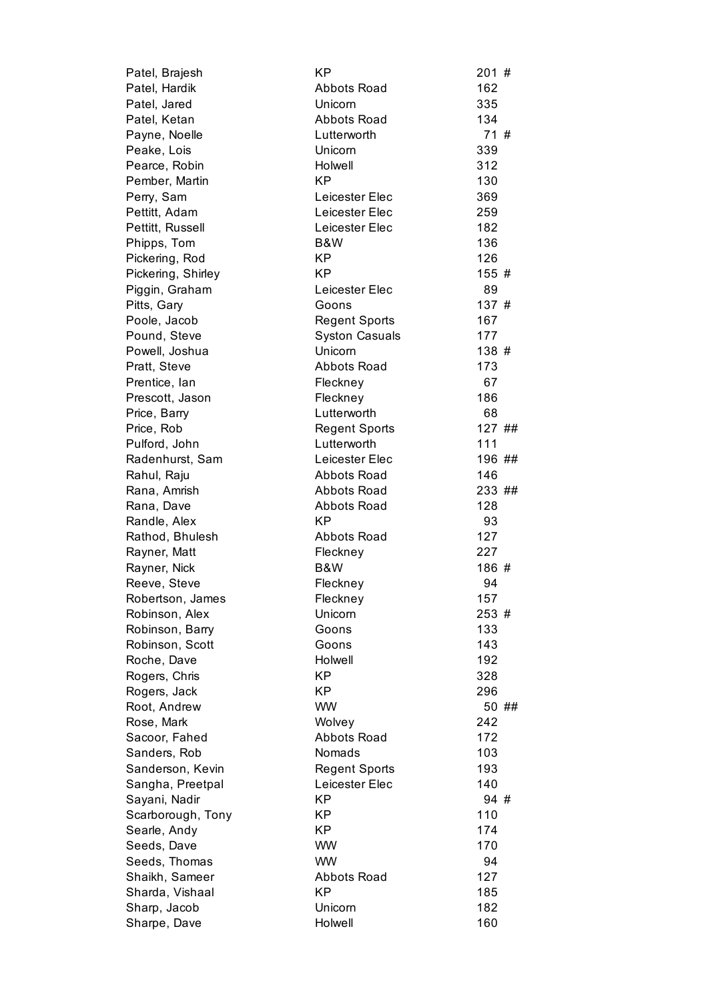| Patel, Brajesh     | ΚP                    | 201#   |
|--------------------|-----------------------|--------|
| Patel, Hardik      | Abbots Road           | 162    |
| Patel, Jared       | Unicorn               | 335    |
| Patel, Ketan       | <b>Abbots Road</b>    | 134    |
| Payne, Noelle      | Lutterworth           | 71#    |
| Peake, Lois        | Unicorn               | 339    |
| Pearce, Robin      | Holwell               | 312    |
| Pember, Martin     | <b>KP</b>             | 130    |
| Perry, Sam         | Leicester Elec        | 369    |
| Pettitt, Adam      | Leicester Elec        | 259    |
| Pettitt, Russell   | Leicester Elec        | 182    |
| Phipps, Tom        | B&W                   | 136    |
| Pickering, Rod     | KP                    | 126    |
| Pickering, Shirley | KP                    | 155 #  |
| Piggin, Graham     | Leicester Elec        | 89     |
| Pitts, Gary        | Goons                 | 137#   |
| Poole, Jacob       | <b>Regent Sports</b>  | 167    |
| Pound, Steve       | <b>Syston Casuals</b> | 177    |
| Powell, Joshua     | Unicorn               | 138 #  |
| Pratt, Steve       | <b>Abbots Road</b>    | 173    |
| Prentice, Ian      | Fleckney              | 67     |
| Prescott, Jason    | Fleckney              | 186    |
| Price, Barry       | Lutterworth           | 68     |
| Price, Rob         | <b>Regent Sports</b>  | 127 ## |
| Pulford, John      | Lutterworth           | 111    |
| Radenhurst, Sam    | Leicester Elec        | 196 ## |
| Rahul, Raju        | <b>Abbots Road</b>    | 146    |
| Rana, Amrish       | <b>Abbots Road</b>    | 233 ## |
| Rana, Dave         | Abbots Road           | 128    |
| Randle, Alex       | <b>KP</b>             | 93     |
| Rathod, Bhulesh    | <b>Abbots Road</b>    | 127    |
| Rayner, Matt       | Fleckney              | 227    |
| Rayner, Nick       | B&W                   | 186#   |
| Reeve, Steve       | Fleckney              | 94     |
| Robertson, James   | Fleckney              | 157    |
| Robinson, Alex     | Unicorn               | 253 #  |
| Robinson, Barry    | Goons                 | 133    |
| Robinson, Scott    | Goons                 | 143    |
| Roche, Dave        | Holwell               | 192    |
| Rogers, Chris      | KP                    | 328    |
| Rogers, Jack       | KP                    | 296    |
| Root, Andrew       | <b>WW</b>             | 50 ##  |
| Rose, Mark         | Wolvey                | 242    |
| Sacoor, Fahed      | <b>Abbots Road</b>    | 172    |
| Sanders, Rob       | Nomads                | 103    |
| Sanderson, Kevin   | <b>Regent Sports</b>  | 193    |
| Sangha, Preetpal   | Leicester Elec        | 140    |
| Sayani, Nadir      | ΚP                    | 94#    |
| Scarborough, Tony  | ΚP                    | 110    |
|                    | <b>KP</b>             | 174    |
| Searle, Andy       | <b>WW</b>             | 170    |
| Seeds, Dave        | <b>WW</b>             | 94     |
| Seeds, Thomas      |                       |        |
| Shaikh, Sameer     | <b>Abbots Road</b>    | 127    |
| Sharda, Vishaal    | ΚP                    | 185    |
| Sharp, Jacob       | Unicorn               | 182    |
| Sharpe, Dave       | Holwell               | 160    |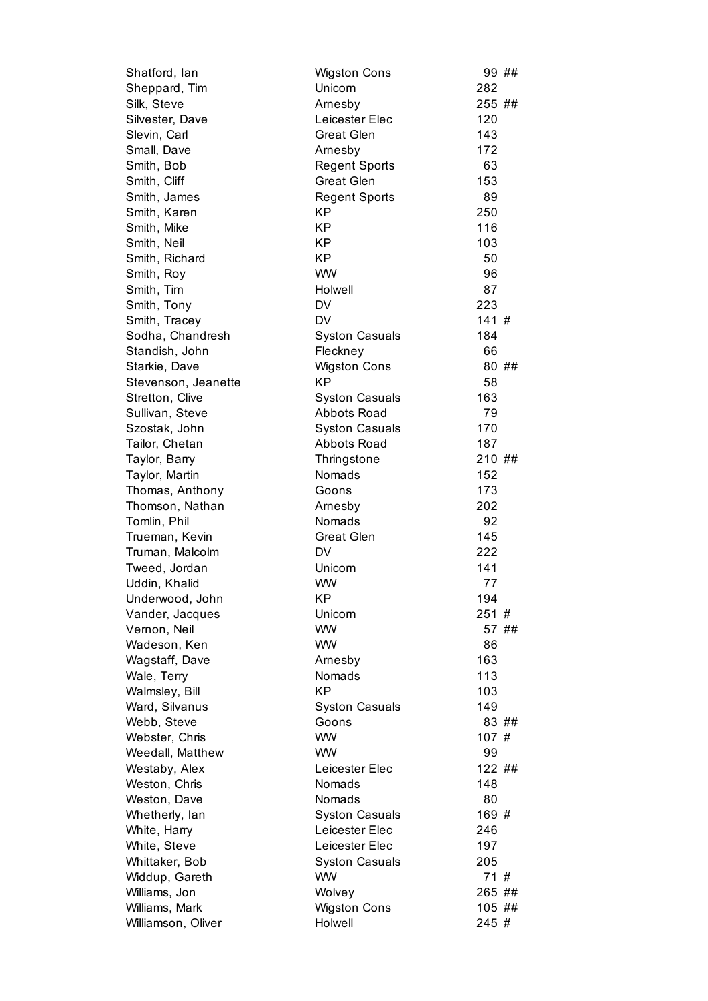| Shatford, lan       | <b>Wigston Cons</b>   |        | 99 ## |
|---------------------|-----------------------|--------|-------|
| Sheppard, Tim       | Unicorn               | 282    |       |
| Silk, Steve         | Arnesby               | 255 ## |       |
| Silvester, Dave     | Leicester Elec        | 120    |       |
| Slevin, Carl        | <b>Great Glen</b>     | 143    |       |
| Small, Dave         | Arnesby               | 172    |       |
| Smith, Bob          | <b>Regent Sports</b>  | 63     |       |
| Smith, Cliff        | <b>Great Glen</b>     | 153    |       |
| Smith, James        | <b>Regent Sports</b>  | 89     |       |
| Smith, Karen        | <b>KP</b>             | 250    |       |
| Smith, Mike         | KP                    | 116    |       |
| Smith, Neil         | <b>KP</b>             | 103    |       |
| Smith, Richard      | <b>KP</b>             | 50     |       |
| Smith, Roy          | <b>WW</b>             | 96     |       |
| Smith, Tim          | Holwell               | 87     |       |
| Smith, Tony         | DV                    | 223    |       |
| Smith, Tracey       | <b>DV</b>             | 141#   |       |
| Sodha, Chandresh    | <b>Syston Casuals</b> | 184    |       |
| Standish, John      | Fleckney              | 66     |       |
| Starkie, Dave       | <b>Wigston Cons</b>   |        | 80 ## |
| Stevenson, Jeanette | <b>KP</b>             | 58     |       |
| Stretton, Clive     | <b>Syston Casuals</b> | 163    |       |
| Sullivan, Steve     | <b>Abbots Road</b>    | 79     |       |
| Szostak, John       | <b>Syston Casuals</b> | 170    |       |
| Tailor, Chetan      | <b>Abbots Road</b>    | 187    |       |
| Taylor, Barry       | Thringstone           | 210 ## |       |
| Taylor, Martin      | Nomads                | 152    |       |
| Thomas, Anthony     | Goons                 | 173    |       |
| Thomson, Nathan     | Arnesby               | 202    |       |
| Tomlin, Phil        | Nomads                | 92     |       |
| Trueman, Kevin      | <b>Great Glen</b>     | 145    |       |
| Truman, Malcolm     | <b>DV</b>             | 222    |       |
| Tweed, Jordan       | Unicorn               | 141    |       |
| Uddin, Khalid       | <b>WW</b>             | 77     |       |
| Underwood, John     | ΚP                    | 194    |       |
| Vander, Jacques     | Unicorn               | 251#   |       |
| Vernon, Neil        | <b>WW</b>             |        | 57 ## |
| Wadeson, Ken        | <b>WW</b>             | 86     |       |
| Wagstaff, Dave      | Arnesby               | 163    |       |
| Wale, Terry         | Nomads                | 113    |       |
| Walmsley, Bill      | <b>KP</b>             | 103    |       |
| Ward, Silvanus      | <b>Syston Casuals</b> | 149    |       |
| Webb, Steve         | Goons                 |        | 83 ## |
| Webster, Chris      | <b>WW</b>             | 107#   |       |
| Weedall, Matthew    | <b>WW</b>             | 99     |       |
| Westaby, Alex       | Leicester Elec        | 122 ## |       |
| Weston, Chris       | Nomads                | 148    |       |
| Weston, Dave        | <b>Nomads</b>         | 80     |       |
| Whetherly, lan      | <b>Syston Casuals</b> | 169 #  |       |
| White, Harry        | Leicester Elec        | 246    |       |
| White, Steve        | Leicester Elec        | 197    |       |
| Whittaker, Bob      | <b>Syston Casuals</b> | 205    |       |
| Widdup, Gareth      | <b>WW</b>             | 71#    |       |
| Williams, Jon       | Wolvey                | 265 ## |       |
| Williams, Mark      | <b>Wigston Cons</b>   | 105 ## |       |
| Williamson, Oliver  | Holwell               | 245#   |       |